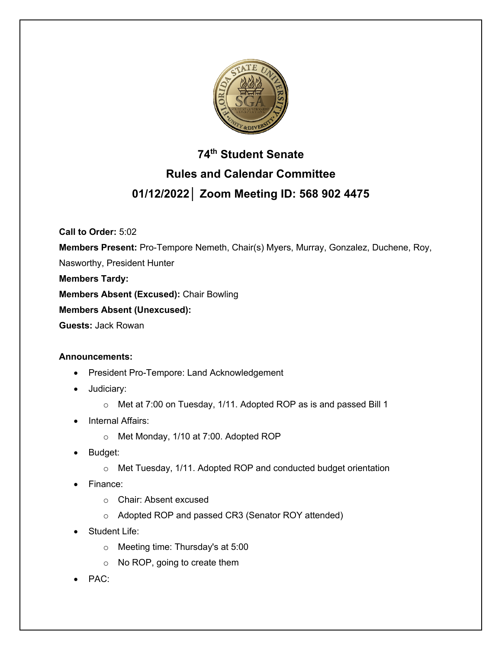

# **74th Student Senate Rules and Calendar Committee 01/12/2022│ Zoom Meeting ID: 568 902 4475**

**Call to Order:** 5:02

**Members Present:** Pro-Tempore Nemeth, Chair(s) Myers, Murray, Gonzalez, Duchene, Roy,

Nasworthy, President Hunter

**Members Tardy:**

**Members Absent (Excused):** Chair Bowling

**Members Absent (Unexcused):**

**Guests:** Jack Rowan

# **Announcements:**

- President Pro-Tempore: Land Acknowledgement
- Judiciary:
	- o Met at 7:00 on Tuesday, 1/11. Adopted ROP as is and passed Bill 1
- Internal Affairs:
	- o Met Monday, 1/10 at 7:00. Adopted ROP
- Budget:
	- o Met Tuesday, 1/11. Adopted ROP and conducted budget orientation
- Finance:
	- o Chair: Absent excused
	- o Adopted ROP and passed CR3 (Senator ROY attended)
- Student Life:
	- o Meeting time: Thursday's at 5:00
	- o No ROP, going to create them
- PAC: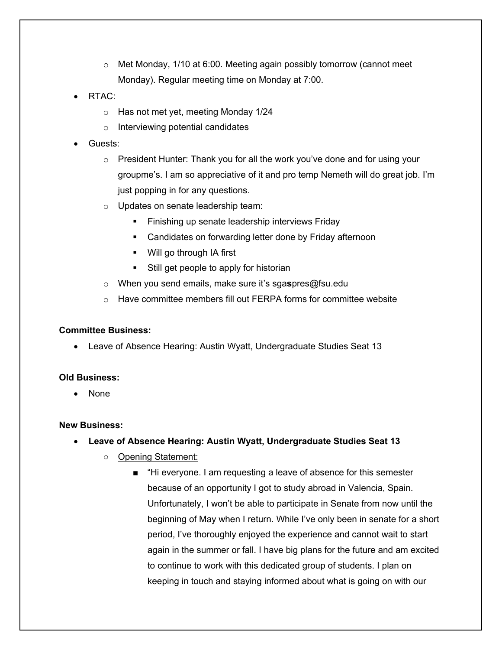- $\circ$  Met Monday, 1/10 at 6:00. Meeting again possibly tomorrow (cannot meet Monday). Regular meeting time on Monday at 7:00.
- $RTAC<sup>+</sup>$ 
	- o Has not met yet, meeting Monday 1/24
	- o Interviewing potential candidates
- Guests:
	- $\circ$  President Hunter: Thank you for all the work you've done and for using your groupme's. I am so appreciative of it and pro temp Nemeth will do great job. I'm just popping in for any questions.
	- o Updates on senate leadership team:
		- Finishing up senate leadership interviews Friday
		- Candidates on forwarding letter done by Friday afternoon
		- Will go through IA first
		- Still get people to apply for historian
	- o When you send emails, make sure it's sga**s**pres@fsu.edu
	- o Have committee members fill out FERPA forms for committee website

#### **Committee Business:**

• Leave of Absence Hearing: Austin Wyatt, Undergraduate Studies Seat 13

#### **Old Business:**

• None

#### **New Business:**

- **Leave of Absence Hearing: Austin Wyatt, Undergraduate Studies Seat 13**
	- Opening Statement:
		- "Hi everyone. I am requesting a leave of absence for this semester because of an opportunity I got to study abroad in Valencia, Spain. Unfortunately, I won't be able to participate in Senate from now until the beginning of May when I return. While I've only been in senate for a short period, I've thoroughly enjoyed the experience and cannot wait to start again in the summer or fall. I have big plans for the future and am excited to continue to work with this dedicated group of students. I plan on keeping in touch and staying informed about what is going on with our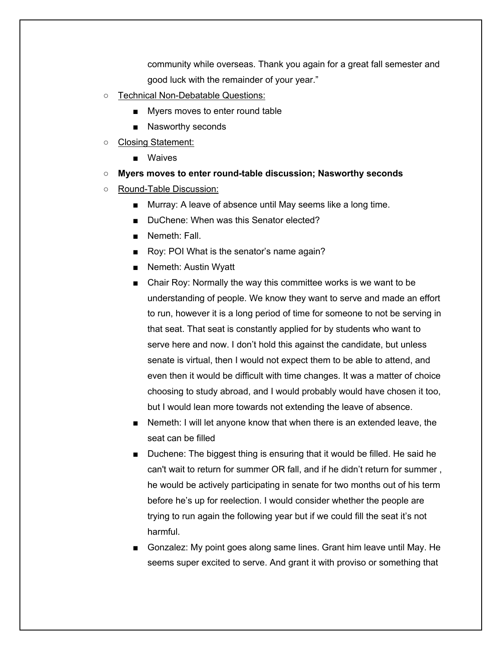community while overseas. Thank you again for a great fall semester and good luck with the remainder of your year."

- Technical Non-Debatable Questions:
	- Myers moves to enter round table
	- Nasworthy seconds
- Closing Statement:
	- Waives
- **Myers moves to enter round-table discussion; Nasworthy seconds**
- Round-Table Discussion:
	- Murray: A leave of absence until May seems like a long time.
	- DuChene: When was this Senator elected?
	- Nemeth: Fall.
	- Roy: POI What is the senator's name again?
	- Nemeth: Austin Wyatt
	- Chair Roy: Normally the way this committee works is we want to be understanding of people. We know they want to serve and made an effort to run, however it is a long period of time for someone to not be serving in that seat. That seat is constantly applied for by students who want to serve here and now. I don't hold this against the candidate, but unless senate is virtual, then I would not expect them to be able to attend, and even then it would be difficult with time changes. It was a matter of choice choosing to study abroad, and I would probably would have chosen it too, but I would lean more towards not extending the leave of absence.
	- Nemeth: I will let anyone know that when there is an extended leave, the seat can be filled
	- Duchene: The biggest thing is ensuring that it would be filled. He said he can't wait to return for summer OR fall, and if he didn't return for summer , he would be actively participating in senate for two months out of his term before he's up for reelection. I would consider whether the people are trying to run again the following year but if we could fill the seat it's not harmful.
	- Gonzalez: My point goes along same lines. Grant him leave until May. He seems super excited to serve. And grant it with proviso or something that